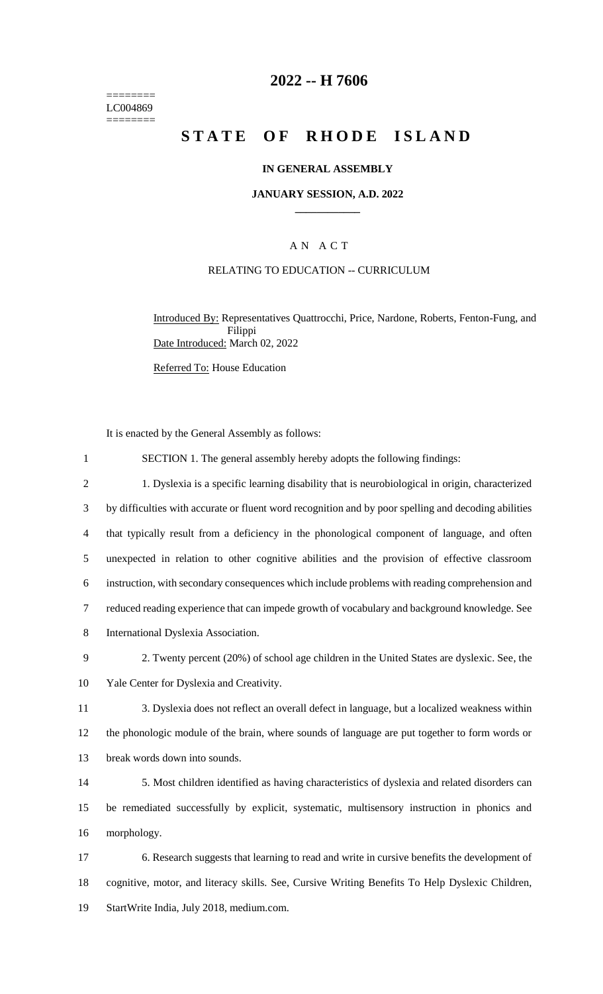======== LC004869 ========

### **2022 -- H 7606**

# **STATE OF RHODE ISLAND**

#### **IN GENERAL ASSEMBLY**

#### **JANUARY SESSION, A.D. 2022 \_\_\_\_\_\_\_\_\_\_\_\_**

#### A N A C T

#### RELATING TO EDUCATION -- CURRICULUM

Introduced By: Representatives Quattrocchi, Price, Nardone, Roberts, Fenton-Fung, and Filippi Date Introduced: March 02, 2022

Referred To: House Education

It is enacted by the General Assembly as follows:

 SECTION 1. The general assembly hereby adopts the following findings: 1. Dyslexia is a specific learning disability that is neurobiological in origin, characterized by difficulties with accurate or fluent word recognition and by poor spelling and decoding abilities that typically result from a deficiency in the phonological component of language, and often unexpected in relation to other cognitive abilities and the provision of effective classroom instruction, with secondary consequences which include problems with reading comprehension and reduced reading experience that can impede growth of vocabulary and background knowledge. See International Dyslexia Association. 2. Twenty percent (20%) of school age children in the United States are dyslexic. See, the Yale Center for Dyslexia and Creativity. 3. Dyslexia does not reflect an overall defect in language, but a localized weakness within the phonologic module of the brain, where sounds of language are put together to form words or break words down into sounds. 5. Most children identified as having characteristics of dyslexia and related disorders can be remediated successfully by explicit, systematic, multisensory instruction in phonics and morphology. 6. Research suggests that learning to read and write in cursive benefits the development of cognitive, motor, and literacy skills. See, Cursive Writing Benefits To Help Dyslexic Children,

19 StartWrite India, July 2018, medium.com.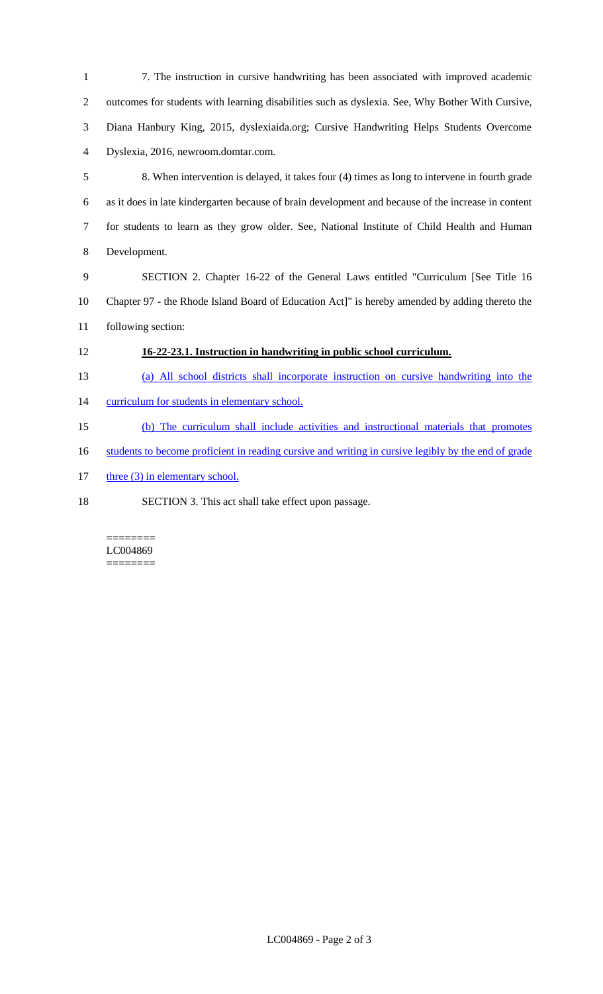- 7. The instruction in cursive handwriting has been associated with improved academic outcomes for students with learning disabilities such as dyslexia. See, Why Bother With Cursive, Diana Hanbury King, 2015, dyslexiaida.org; Cursive Handwriting Helps Students Overcome Dyslexia, 2016, newroom.domtar.com. 8. When intervention is delayed, it takes four (4) times as long to intervene in fourth grade as it does in late kindergarten because of brain development and because of the increase in content for students to learn as they grow older. See, National Institute of Child Health and Human Development. SECTION 2. Chapter 16-22 of the General Laws entitled "Curriculum [See Title 16 Chapter 97 - the Rhode Island Board of Education Act]" is hereby amended by adding thereto the following section: **16-22-23.1. Instruction in handwriting in public school curriculum.**  (a) All school districts shall incorporate instruction on cursive handwriting into the 14 curriculum for students in elementary school. (b) The curriculum shall include activities and instructional materials that promotes 16 students to become proficient in reading cursive and writing in cursive legibly by the end of grade
- 17 three (3) in elementary school.
- SECTION 3. This act shall take effect upon passage.

#### ======== LC004869 ========